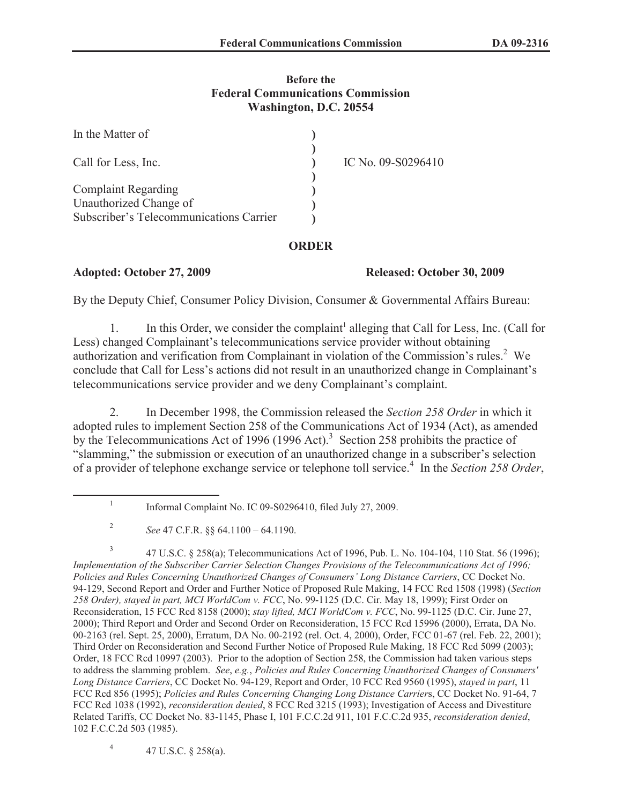### **Before the Federal Communications Commission Washington, D.C. 20554**

| In the Matter of                        |                    |
|-----------------------------------------|--------------------|
| Call for Less, Inc.                     | IC No. 09-S0296410 |
|                                         |                    |
| <b>Complaint Regarding</b>              |                    |
| Unauthorized Change of                  |                    |
| Subscriber's Telecommunications Carrier |                    |

## **ORDER**

## **Adopted: October 27, 2009 Released: October 30, 2009**

By the Deputy Chief, Consumer Policy Division, Consumer & Governmental Affairs Bureau:

1. In this Order, we consider the complaint<sup>1</sup> alleging that Call for Less, Inc. (Call for Less) changed Complainant's telecommunications service provider without obtaining authorization and verification from Complainant in violation of the Commission's rules.<sup>2</sup> We conclude that Call for Less's actions did not result in an unauthorized change in Complainant's telecommunications service provider and we deny Complainant's complaint.

2. In December 1998, the Commission released the *Section 258 Order* in which it adopted rules to implement Section 258 of the Communications Act of 1934 (Act), as amended by the Telecommunications Act of 1996 (1996 Act).<sup>3</sup> Section 258 prohibits the practice of "slamming," the submission or execution of an unauthorized change in a subscriber's selection of a provider of telephone exchange service or telephone toll service.<sup>4</sup> In the *Section 258 Order*,

4 47 U.S.C. § 258(a).

<sup>1</sup> Informal Complaint No. IC 09-S0296410, filed July 27, 2009.

<sup>2</sup> *See* 47 C.F.R. §§ 64.1100 – 64.1190.

<sup>3</sup> 47 U.S.C. § 258(a); Telecommunications Act of 1996, Pub. L. No. 104-104, 110 Stat. 56 (1996); *Implementation of the Subscriber Carrier Selection Changes Provisions of the Telecommunications Act of 1996; Policies and Rules Concerning Unauthorized Changes of Consumers' Long Distance Carriers*, CC Docket No. 94-129, Second Report and Order and Further Notice of Proposed Rule Making, 14 FCC Rcd 1508 (1998) (*Section 258 Order), stayed in part, MCI WorldCom v. FCC*, No. 99-1125 (D.C. Cir. May 18, 1999); First Order on Reconsideration, 15 FCC Rcd 8158 (2000); *stay lifted, MCI WorldCom v. FCC*, No. 99-1125 (D.C. Cir. June 27, 2000); Third Report and Order and Second Order on Reconsideration, 15 FCC Rcd 15996 (2000), Errata, DA No. 00-2163 (rel. Sept. 25, 2000), Erratum, DA No. 00-2192 (rel. Oct. 4, 2000), Order, FCC 01-67 (rel. Feb. 22, 2001); Third Order on Reconsideration and Second Further Notice of Proposed Rule Making, 18 FCC Rcd 5099 (2003); Order, 18 FCC Rcd 10997 (2003). Prior to the adoption of Section 258, the Commission had taken various steps to address the slamming problem. *See*, *e.g.*, *Policies and Rules Concerning Unauthorized Changes of Consumers' Long Distance Carriers*, CC Docket No. 94-129, Report and Order, 10 FCC Rcd 9560 (1995), *stayed in part*, 11 FCC Rcd 856 (1995); *Policies and Rules Concerning Changing Long Distance Carrier*s, CC Docket No. 91-64, 7 FCC Rcd 1038 (1992), *reconsideration denied*, 8 FCC Rcd 3215 (1993); Investigation of Access and Divestiture Related Tariffs, CC Docket No. 83-1145, Phase I, 101 F.C.C.2d 911, 101 F.C.C.2d 935, *reconsideration denied*, 102 F.C.C.2d 503 (1985).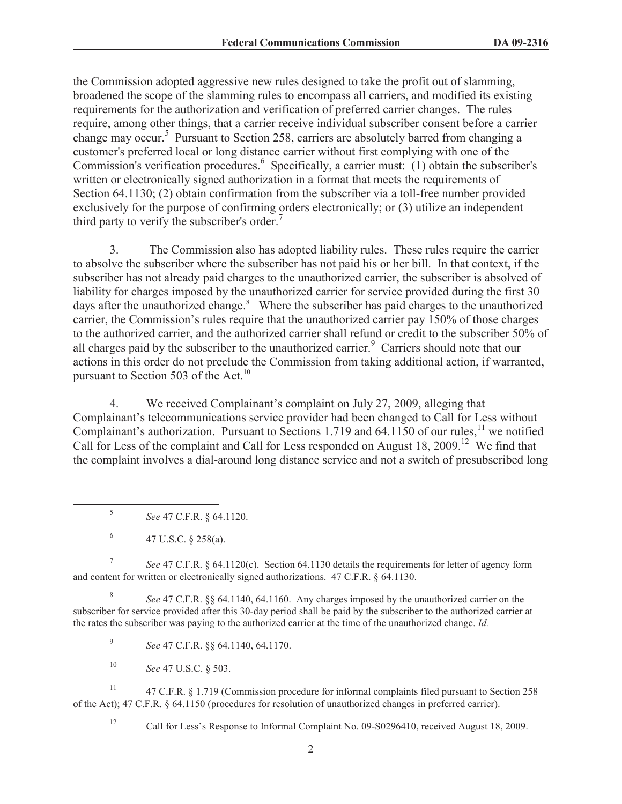the Commission adopted aggressive new rules designed to take the profit out of slamming, broadened the scope of the slamming rules to encompass all carriers, and modified its existing requirements for the authorization and verification of preferred carrier changes. The rules require, among other things, that a carrier receive individual subscriber consent before a carrier change may occur.<sup>5</sup> Pursuant to Section 258, carriers are absolutely barred from changing a customer's preferred local or long distance carrier without first complying with one of the Commission's verification procedures.<sup>6</sup> Specifically, a carrier must: (1) obtain the subscriber's written or electronically signed authorization in a format that meets the requirements of Section 64.1130; (2) obtain confirmation from the subscriber via a toll-free number provided exclusively for the purpose of confirming orders electronically; or (3) utilize an independent third party to verify the subscriber's order.<sup>7</sup>

3. The Commission also has adopted liability rules. These rules require the carrier to absolve the subscriber where the subscriber has not paid his or her bill. In that context, if the subscriber has not already paid charges to the unauthorized carrier, the subscriber is absolved of liability for charges imposed by the unauthorized carrier for service provided during the first 30 days after the unauthorized change.<sup>8</sup> Where the subscriber has paid charges to the unauthorized carrier, the Commission's rules require that the unauthorized carrier pay 150% of those charges to the authorized carrier, and the authorized carrier shall refund or credit to the subscriber 50% of all charges paid by the subscriber to the unauthorized carrier.<sup>9</sup> Carriers should note that our actions in this order do not preclude the Commission from taking additional action, if warranted, pursuant to Section 503 of the Act.<sup>10</sup>

4. We received Complainant's complaint on July 27, 2009, alleging that Complainant's telecommunications service provider had been changed to Call for Less without Complainant's authorization. Pursuant to Sections 1.719 and  $64.1150$  of our rules,<sup>11</sup> we notified Call for Less of the complaint and Call for Less responded on August 18, 2009.<sup>12</sup> We find that the complaint involves a dial-around long distance service and not a switch of presubscribed long

7 *See* 47 C.F.R. § 64.1120(c). Section 64.1130 details the requirements for letter of agency form and content for written or electronically signed authorizations. 47 C.F.R. § 64.1130.

8 *See* 47 C.F.R. §§ 64.1140, 64.1160. Any charges imposed by the unauthorized carrier on the subscriber for service provided after this 30-day period shall be paid by the subscriber to the authorized carrier at the rates the subscriber was paying to the authorized carrier at the time of the unauthorized change. *Id.*

9 *See* 47 C.F.R. §§ 64.1140, 64.1170.

<sup>10</sup> *See* 47 U.S.C. § 503.

<sup>11</sup> 47 C.F.R. § 1.719 (Commission procedure for informal complaints filed pursuant to Section 258 of the Act); 47 C.F.R. § 64.1150 (procedures for resolution of unauthorized changes in preferred carrier).

<sup>12</sup> Call for Less's Response to Informal Complaint No. 09-S0296410, received August 18, 2009.

<sup>5</sup> *See* 47 C.F.R. § 64.1120.

<sup>6</sup> 47 U.S.C. § 258(a).